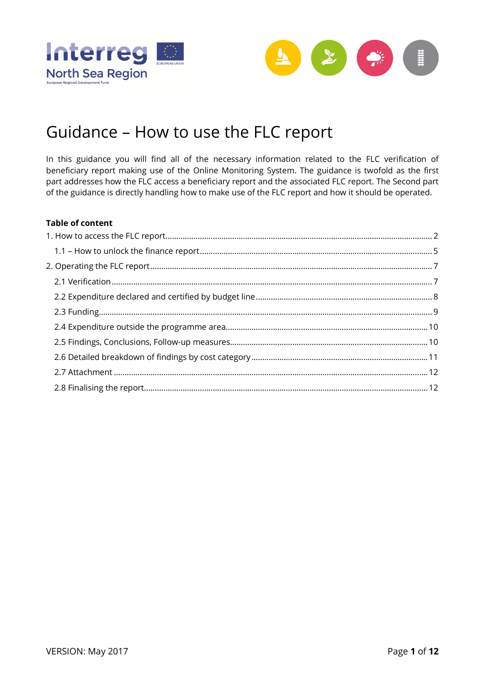



# Guidance – How to use the FLC report

In this guidance you will find all of the necessary information related to the FLC verification of beneficiary report making use of the Online Monitoring System. The guidance is twofold as the first part addresses how the FLC access a beneficiary report and the associated FLC report. The Second part of the guidance is directly handling how to make use of the FLC report and how it should be operated.

#### **Table of content**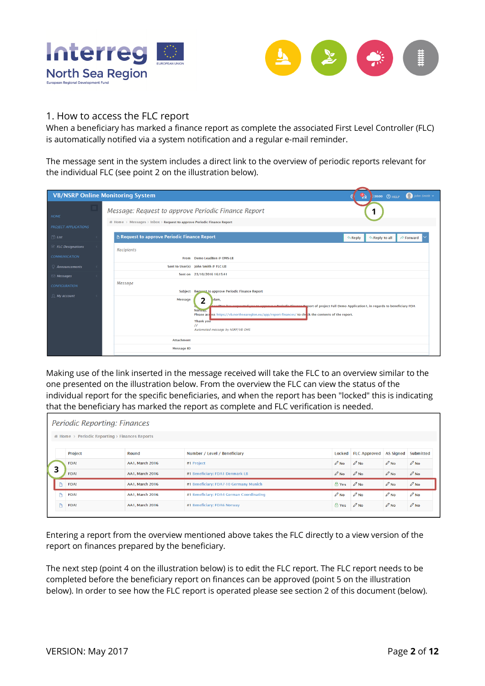



# 1. How to access the FLC report

When a beneficiary has marked a finance report as complete the associated First Level Controller (FLC) is automatically notified via a system notification and a regular e-mail reminder.

The message sent in the system includes a direct link to the overview of periodic reports relevant for the individual FLC (see point 2 on the illustration below).

| <b>VB/NSRP Online Monitoring System</b>         | 30:00 $\odot$ HELP $\bigcap$ John Smith $\sim$<br>ঌ                                                                                                                                                                                                                                                                                                                                                  |  |
|-------------------------------------------------|------------------------------------------------------------------------------------------------------------------------------------------------------------------------------------------------------------------------------------------------------------------------------------------------------------------------------------------------------------------------------------------------------|--|
| $\equiv$<br>HOME<br><b>PROJECT APPLICATIONS</b> | Message: Request to approve Periodic Finance Report<br>٠<br># Home > Messages > Inbox > Request to approve Periodic Finance Report                                                                                                                                                                                                                                                                   |  |
| $\Box$ List                                     | <b>B</b> Request to approve Periodic Finance Report<br>Reply to all<br>$\Rightarrow$ Forward<br><b> <del></del></b> Reply                                                                                                                                                                                                                                                                            |  |
| $E$ FLC Designations                            | <b>Recipients</b>                                                                                                                                                                                                                                                                                                                                                                                    |  |
| <b>COMMUNICATION</b>                            | From Demo LeadBen @ OMS-LB                                                                                                                                                                                                                                                                                                                                                                           |  |
| $\Omega$ Announcements                          | Sent to User(s) John Smith @ FLC-LB                                                                                                                                                                                                                                                                                                                                                                  |  |
| $\boxdot$ Messages                              | Sent on 23/10/2016 16:15:41                                                                                                                                                                                                                                                                                                                                                                          |  |
| <b>CONFIGURATION</b>                            | Message                                                                                                                                                                                                                                                                                                                                                                                              |  |
| $\mathbb{Q}$ My account                         | Subject Request to approve Periodic Finance Report<br><b>Message</b><br>າ<br>dam,<br><b>Designification</b> Engineera Peport of project Full Demo Application 1, in regards to beneficiary FDA<br><b>NOTWAY</b><br>Please access https://vb.northsearegion.eu/app/report-finances/ to check the contents of the report.<br><b>Thank you</b><br>$^{\prime\prime}$<br>Automated message by NSRP/VB OMS |  |
|                                                 | <b>Attachment</b>                                                                                                                                                                                                                                                                                                                                                                                    |  |
|                                                 | <b>Message ID</b>                                                                                                                                                                                                                                                                                                                                                                                    |  |

Making use of the link inserted in the message received will take the FLC to an overview similar to the one presented on the illustration below. From the overview the FLC can view the status of the individual report for the specific beneficiaries, and when the report has been "locked" this is indicating that the beneficiary has marked the report as complete and FLC verification is needed.

| Periodic Reporting: Finances                              |             |                        |                                          |                     |                   |                  |                  |  |  |  |  |  |  |
|-----------------------------------------------------------|-------------|------------------------|------------------------------------------|---------------------|-------------------|------------------|------------------|--|--|--|--|--|--|
| $\mathcal A$ Home > Periodic Reporting > Finances Reports |             |                        |                                          |                     |                   |                  |                  |  |  |  |  |  |  |
|                                                           |             |                        | Number / Level / Beneficiary             |                     |                   |                  |                  |  |  |  |  |  |  |
|                                                           | Project     | Round                  | Locked                                   | <b>FLC Approved</b> | AS Signed         | Submitted        |                  |  |  |  |  |  |  |
|                                                           | <b>FDA!</b> | AA1, March 2016        | #1 Project                               | $\mathscr{O}$ No    | $\mathscr{O}$ No  | $\mathscr{O}$ No | $\mathscr{O}$ No |  |  |  |  |  |  |
| 3                                                         | FDA!        | AA1, March 2016        | #1 Beneficiary: FDA1 Denmark LB          | $\mathscr{O}$ No    | $\mathscr{O}$ No. | $\mathscr{O}$ No | $\mathscr{O}$ No |  |  |  |  |  |  |
|                                                           | FDA!        | <b>AA1, March 2016</b> | #1 Beneficiary: FDA7-10 Germany Munich   | <b>A</b> Yes        | $\mathscr{D}$ No  | $\mathscr{O}$ No | $\mathscr{O}$ No |  |  |  |  |  |  |
| <b>ID</b>                                                 | FDA!        | AA1, March 2016        | #1 Beneficiary: FDA4 German Coordinating | $\mathscr{O}$ No    | $\mathscr{O}$ No  | $\mathscr{O}$ No | $\mathscr{O}$ No |  |  |  |  |  |  |
|                                                           | FDA!        | AA1, March 2016        | #1 Beneficiary: FDA6 Norway              | <u>ੀ Yes</u>        | $\mathscr{O}$ No  | $\mathscr{D}$ No | $\mathscr{D}$ No |  |  |  |  |  |  |

Entering a report from the overview mentioned above takes the FLC directly to a view version of the report on finances prepared by the beneficiary.

The next step (point 4 on the illustration below) is to edit the FLC report. The FLC report needs to be completed before the beneficiary report on finances can be approved (point 5 on the illustration below). In order to see how the FLC report is operated please see section 2 of this document (below).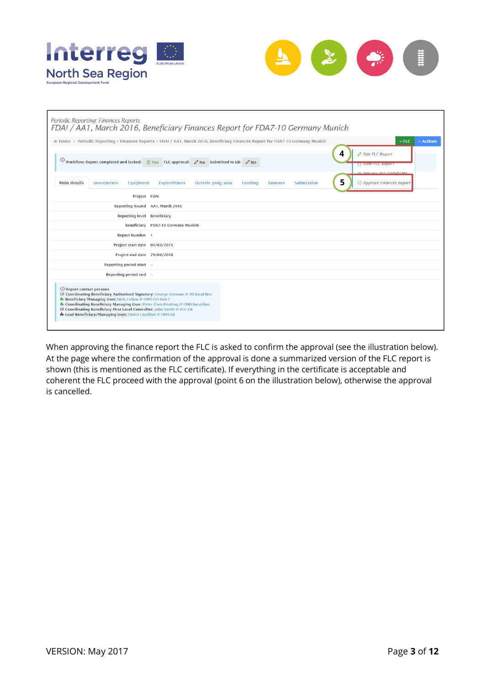



| Periodic Reporting: Finances Reports<br>FDA! / AA1, March 2016, Beneficiary Finances Report for FDA7-10 Germany Munich                                                                                                                                                                                                                                                                                          |
|-----------------------------------------------------------------------------------------------------------------------------------------------------------------------------------------------------------------------------------------------------------------------------------------------------------------------------------------------------------------------------------------------------------------|
| $\vee$ Actions<br>Al Home > Periodic Reporting > Finances Reports > FDA! / AA1, March 2016, Beneficiary Finances Report for FDA7-10 Germany Munich<br>$\times$ FLC.                                                                                                                                                                                                                                             |
| <b>Ø</b> Edit FLC Report<br>4<br>(i) Workflow: Report completed and locked: $\frac{1}{10}$ Yes FLC approval: $\oslash$ No Submitted to LB: $\oslash$ No<br><b>T</b> VIEW FLC Report<br>@ Draviaw FLC Cartificate                                                                                                                                                                                                |
| 5.<br>$\odot$ Approve Finances Report<br><b>Main details</b><br>Outside prog. area<br><b>Equipment</b><br><b>Expenditures</b><br><b>Funding</b><br><b>Submission</b><br><b>Investments</b><br><b>Annexes</b>                                                                                                                                                                                                    |
| Project FDA!                                                                                                                                                                                                                                                                                                                                                                                                    |
| Reporting Round AA1, March 2016                                                                                                                                                                                                                                                                                                                                                                                 |
| <b>Reporting level Beneficiary</b>                                                                                                                                                                                                                                                                                                                                                                              |
| Beneficiary FDA7-10 Germany Munich                                                                                                                                                                                                                                                                                                                                                                              |
| <b>Report Number 1</b>                                                                                                                                                                                                                                                                                                                                                                                          |
| Project start date 04/03/2015                                                                                                                                                                                                                                                                                                                                                                                   |
| Project end date 29/04/2018                                                                                                                                                                                                                                                                                                                                                                                     |
| Reporting period start -                                                                                                                                                                                                                                                                                                                                                                                        |
| Reporting period end -                                                                                                                                                                                                                                                                                                                                                                                          |
| (i) Report contact persons<br>Coordinating Beneficiary Authorised Signatory: George German @ AS-local-Ben<br><b>H</b> - Beneficiary Managing User: Nick CoBen @ OMS-CO-Ben-1<br><b>H</b> Coordinating Beneficiary Managing User: Peter Coordinating @ OMS-local-Ben<br>S Coordinating Beneficiary First Level Controller: John Smith @ FLC-LB<br><b>n</b> Lead Beneficiary/Managing User: Demo LeadBen @ OMS-LB |

When approving the finance report the FLC is asked to confirm the approval (see the illustration below). At the page where the confirmation of the approval is done a summarized version of the FLC report is shown (this is mentioned as the FLC certificate). If everything in the certificate is acceptable and coherent the FLC proceed with the approval (point 6 on the illustration below), otherwise the approval is cancelled.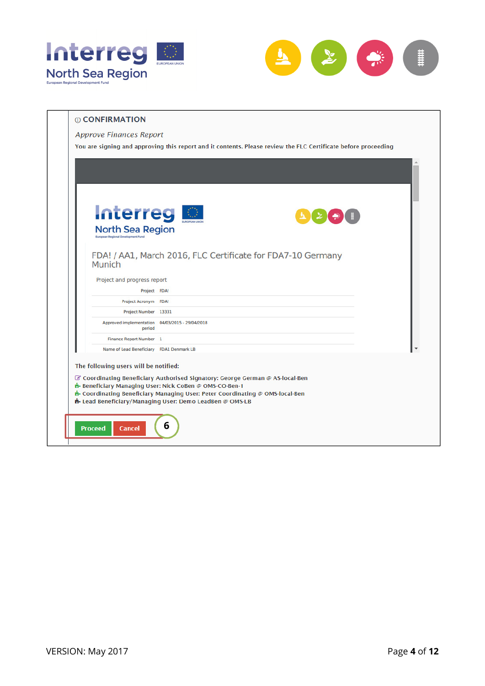



| <b>Interreg</b>                                           |  |
|-----------------------------------------------------------|--|
| <b>North Sea Region</b>                                   |  |
| Project and progress report<br>Project FDA!               |  |
| Project Acronym FDA!                                      |  |
| Project Number 13331                                      |  |
| Approved implementation 04/03/2015 - 29/04/2018<br>period |  |
| Finance Report Number 1                                   |  |
| Name of Lead Beneficiary FDA1 Denmark LB                  |  |
|                                                           |  |
| The following users will be notified:                     |  |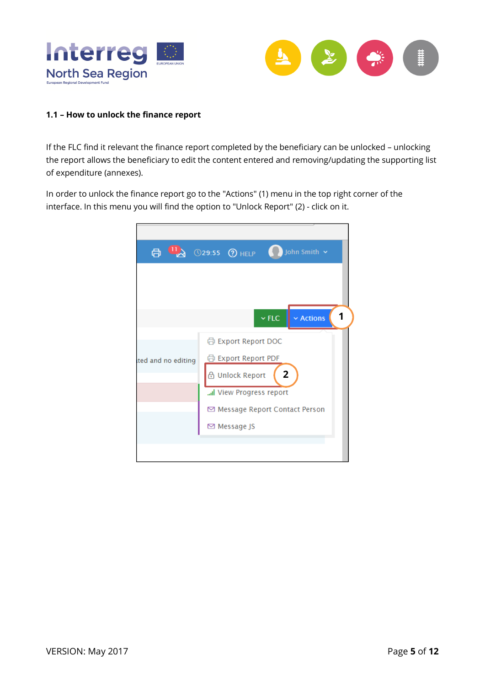



## **1.1 – How to unlock the finance report**

If the FLC find it relevant the finance report completed by the beneficiary can be unlocked – unlocking the report allows the beneficiary to edit the content entered and removing/updating the supporting list of expenditure (annexes).

In order to unlock the finance report go to the "Actions" (1) menu in the top right corner of the interface. In this menu you will find the option to "Unlock Report" (2) - click on it.

| $\mathbf{u}_{\lambda}$<br>骨 | John Smith Y<br>$\sqrt{29:55}$ $\sqrt{2}$ HELP |
|-----------------------------|------------------------------------------------|
|                             |                                                |
|                             |                                                |
|                             | 1<br>$\vee$ FLC<br>$\times$ Actions            |
|                             |                                                |
|                             | 骨 Export Report DOC                            |
| ited and no editing         | 骨 Export Report PDF                            |
|                             | $\overline{2}$<br><b>A</b> Unlock Report       |
|                             | I View Progress report                         |
|                             | ⊠ Message Report Contact Person                |
|                             | ⊠ Message JS                                   |
|                             |                                                |
|                             |                                                |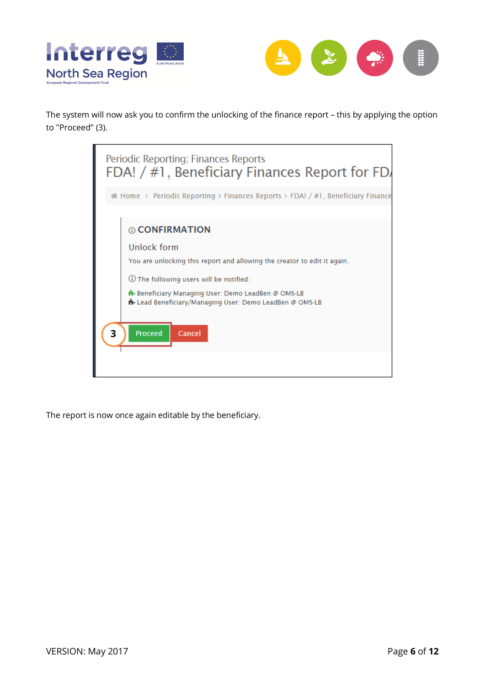



The system will now ask you to confirm the unlocking of the finance report – this by applying the option to "Proceed" (3).



The report is now once again editable by the beneficiary.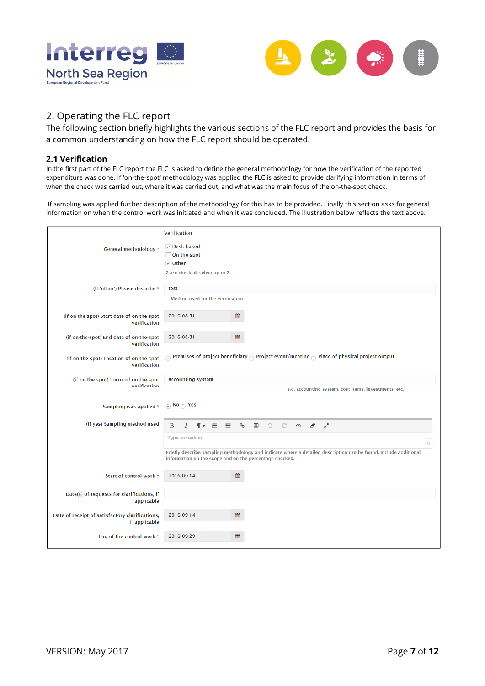



# 2. Operating the FLC report

The following section briefly highlights the various sections of the FLC report and provides the basis for a common understanding on how the FLC report should be operated.

#### **2.1 Verification**

In the first part of the FLC report the FLC is asked to define the general methodology for how the verification of the reported expenditure was done. If 'on-the-spot' methodology was applied the FLC is asked to provide clarifying information in terms of when the check was carried out, where it was carried out, and what was the main focus of the on-the-spot check.

 If sampling was applied further description of the methodology for this has to be provided. Finally this section asks for general information on when the control work was initiated and when it was concluded. The illustration below reflects the text above.

|                                                                  | <b>Verification</b>                                                               |                                                                                                                            |
|------------------------------------------------------------------|-----------------------------------------------------------------------------------|----------------------------------------------------------------------------------------------------------------------------|
| General methodology *                                            | $\vee$ Desk-based<br>On-the-spot<br>$\vee$ Other<br>2 are checked, select up to 2 |                                                                                                                            |
| (If 'other') Please describe *                                   | test<br>Method used for the verification                                          |                                                                                                                            |
| (if on-the-spot) Start date of on-the-spot<br>verification       | 雦<br>2016-08-31                                                                   |                                                                                                                            |
| (if on-the-spot) End date of on-the-spot<br>verification         | 雦<br>2016-08-31                                                                   |                                                                                                                            |
| (if on-the-spot) Location of on-the-spot<br>verification         |                                                                                   | $_\bigcirc$ Premises of project beneficiary $_\bigcirc$ Project event/meeting $_\bigcirc$ Place of physical project output |
| (if on-the-spot) Focus of on-the-spot<br>verification            | accounting system                                                                 | e.g. accounting system, cost items, investments, etc.                                                                      |
| Sampling was applied *                                           | $\odot$ No $\odot$ Yes                                                            |                                                                                                                            |
|                                                                  |                                                                                   |                                                                                                                            |
| (if yes) Sampling method used                                    | B<br>挂<br>I<br>$\P$ +<br>這                                                        | $\delta$<br>$\blacksquare$<br>C<br>$\mathcal{C}$<br>$\mathbf{z}^{\mathbf{X}}$<br>$\langle \rangle$ $\sigma$                |
|                                                                  | <b>Type something</b>                                                             | $\circ$                                                                                                                    |
|                                                                  | information on the scope and on the percentage checked.                           | Briefly describe sampling methodology and indicate where a detailed description can be found. Include additional           |
| Start of control work *                                          | 雦<br>2016-09-14                                                                   |                                                                                                                            |
| Date(s) of requests for clarifications, if<br>applicable         |                                                                                   |                                                                                                                            |
| Date of receipt of satisfactory clarifications,<br>if applicable | 2016-09-14<br>雦                                                                   |                                                                                                                            |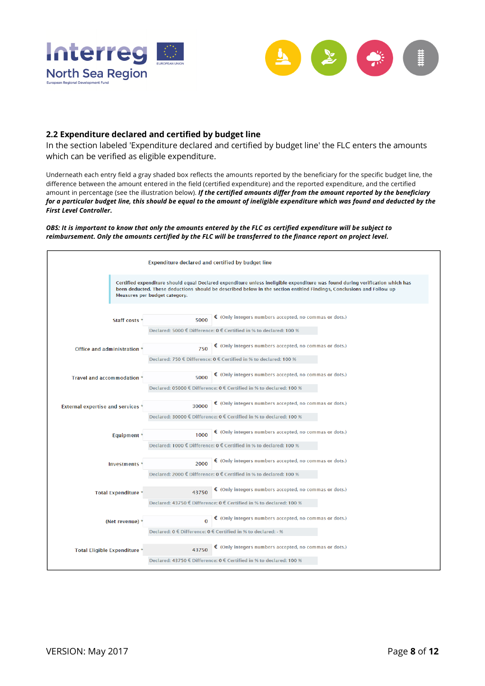



#### **2.2 Expenditure declared and certified by budget line**

In the section labeled 'Expenditure declared and certified by budget line' the FLC enters the amounts which can be verified as eligible expenditure.

Underneath each entry field a gray shaded box reflects the amounts reported by the beneficiary for the specific budget line, the difference between the amount entered in the field (certified expenditure) and the reported expenditure, and the certified amount in percentage (see the illustration below). *If the certified amounts differ from the amount reported by the beneficiary for a particular budget line, this should be equal to the amount of ineligible expenditure which was found and deducted by the First Level Controller.* 

*OBS: It is important to know that only the amounts entered by the FLC as certified expenditure will be subject to reimbursement. Only the amounts certified by the FLC will be transferred to the finance report on project level.* 

|                                          | Expenditure declared and certified by budget line                                                                                                                                                                                                                                       |
|------------------------------------------|-----------------------------------------------------------------------------------------------------------------------------------------------------------------------------------------------------------------------------------------------------------------------------------------|
|                                          | Certified expenditure should equal Declared expenditure unless ineligible expenditure was found during verification which has<br>been deducted. These deductions should be described below in the section entitled Findings, Conclusions and Follow up<br>Measures per budget category. |
| Staff costs '                            | $\epsilon$ (Only integers numbers accepted, no commas or dots.)<br>5000<br>Declared: 5000 € Difference: 0 € Certified in % to declared: 100 %                                                                                                                                           |
| Office and administration                | $\epsilon$ (Only integers numbers accepted, no commas or dots.)<br>750<br>Declared: 750 € Difference: 0 € Certified in % to declared: 100 %                                                                                                                                             |
| <b>Travel and accommodation</b>          | $\epsilon$ (Only integers numbers accepted, no commas or dots.)<br>5000                                                                                                                                                                                                                 |
| <b>External expertise and services</b> ' | Declared: 05000 € Difference: 0 € Certified in % to declared: 100 %<br>$\epsilon$ (Only integers numbers accepted, no commas or dots.)<br>30000                                                                                                                                         |
| Equipment                                | Declared: 30000 € Difference: 0 € Certified in % to declared: 100 %<br>$\epsilon$ (Only integers numbers accepted, no commas or dots.)<br>1000                                                                                                                                          |
| Investments <sup>*</sup>                 | Declared: 1000 € Difference: 0 € Certified in % to declared: 100 %<br>€ (Only integers numbers accepted, no commas or dots.)<br>2000                                                                                                                                                    |
|                                          | Declared: 2000 € Difference: 0 € Certified in % to declared: 100 %<br>$\epsilon$ (Only integers numbers accepted, no commas or dots.)                                                                                                                                                   |
| <b>Total Expenditure</b>                 | 43750<br>Declared: 43750 € Difference: 0 € Certified in % to declared: 100 %                                                                                                                                                                                                            |
| (Net revenue)                            | $\epsilon$ (Only integers numbers accepted, no commas or dots.)<br>$\Omega$<br>Declared: 0 € Difference: 0 € Certified in % to declared: - %                                                                                                                                            |
| Total Eligible Expenditure *             | $\epsilon$ (Only integers numbers accepted, no commas or dots.)<br>43750<br>Declared: 43750 € Difference: 0 € Certified in % to declared: 100 %                                                                                                                                         |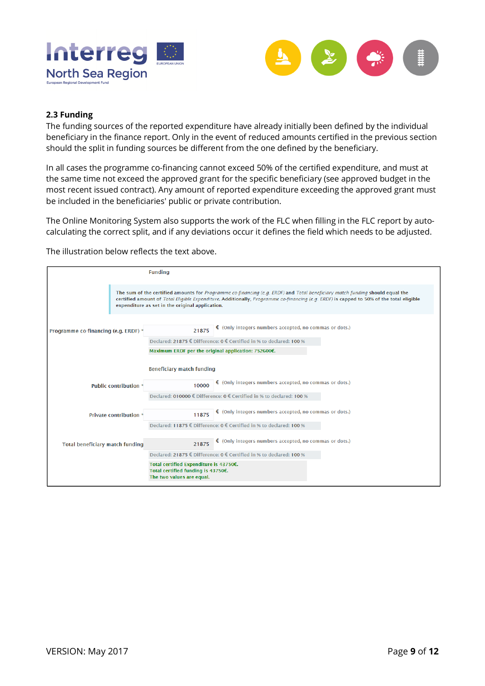



### **2.3 Funding**

The funding sources of the reported expenditure have already initially been defined by the individual beneficiary in the finance report. Only in the event of reduced amounts certified in the previous section should the split in funding sources be different from the one defined by the beneficiary.

In all cases the programme co-financing cannot exceed 50% of the certified expenditure, and must at the same time not exceed the approved grant for the specific beneficiary (see approved budget in the most recent issued contract). Any amount of reported expenditure exceeding the approved grant must be included in the beneficiaries' public or private contribution.

The Online Monitoring System also supports the work of the FLC when filling in the FLC report by autocalculating the correct split, and if any deviations occur it defines the field which needs to be adjusted.

The illustration below reflects the text above.

|                                        | <b>Funding</b>                                                                                                                                                                                                                                                                                                             |
|----------------------------------------|----------------------------------------------------------------------------------------------------------------------------------------------------------------------------------------------------------------------------------------------------------------------------------------------------------------------------|
|                                        | The sum of the certified amounts for Programme co-financing (e.g. ERDF) and Total beneficiary match funding should equal the<br>certified amount of Total Eligible Expenditure. Additionally, Programme co-financing (e.g. ERDF) is capped to 50% of the total eligible<br>expenditure as set in the original application. |
| Programme co-financing (e.g. ERDF) *   | $\epsilon$ (Only integers numbers accepted, no commas or dots.)<br>21875                                                                                                                                                                                                                                                   |
|                                        | Declared: 21875 € Difference: 0 € Certified in % to declared: 100 %                                                                                                                                                                                                                                                        |
|                                        | Maximum ERDF per the original application: 752600€.                                                                                                                                                                                                                                                                        |
|                                        | <b>Beneficiary match funding</b>                                                                                                                                                                                                                                                                                           |
| Public contribution *                  | $\epsilon$ (Only integers numbers accepted, no commas or dots.)<br>10000                                                                                                                                                                                                                                                   |
|                                        | Declared: 010000 € Difference: 0 € Certified in % to declared: 100 %                                                                                                                                                                                                                                                       |
| Private contribution <sup>*</sup>      | $\epsilon$ (Only integers numbers accepted, no commas or dots.)<br>11875                                                                                                                                                                                                                                                   |
|                                        | Declared: 11875 € Difference: 0 € Certified in % to declared: 100 %                                                                                                                                                                                                                                                        |
| <b>Total beneficiary match funding</b> | $\epsilon$ (Only integers numbers accepted, no commas or dots.)<br>21875                                                                                                                                                                                                                                                   |
|                                        | Declared: 21875 € Difference: $0 \in$ Certified in % to declared: 100 %                                                                                                                                                                                                                                                    |
|                                        | Total certified Expenditure is 43750€.<br>Total certified funding is 43750€.<br>The two values are equal.                                                                                                                                                                                                                  |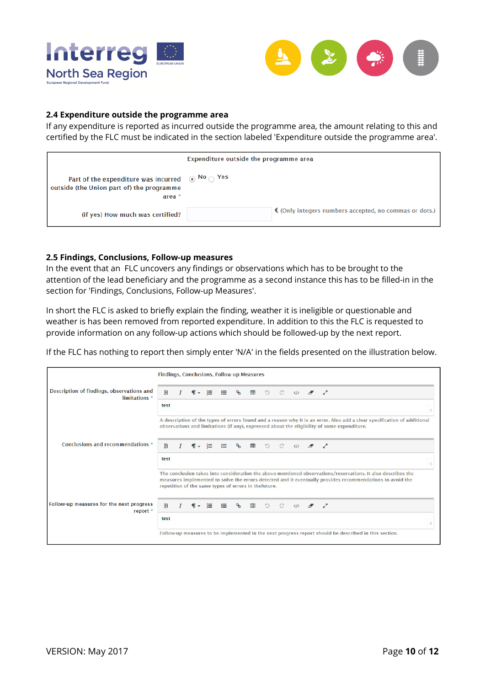



#### **2.4 Expenditure outside the programme area**

If any expenditure is reported as incurred outside the programme area, the amount relating to this and certified by the FLC must be indicated in the section labeled 'Expenditure outside the programme area'.

|                                                                                                                            | Expenditure outside the programme area |                                                                 |  |  |  |  |  |  |
|----------------------------------------------------------------------------------------------------------------------------|----------------------------------------|-----------------------------------------------------------------|--|--|--|--|--|--|
| Part of the expenditure was incurred $\circledR$ No $\circledR$ Yes<br>outside (the Union part of) the programme<br>area * |                                        |                                                                 |  |  |  |  |  |  |
| (if yes) How much was certified?                                                                                           |                                        | $\epsilon$ (Only integers numbers accepted, no commas or dots.) |  |  |  |  |  |  |

#### **2.5 Findings, Conclusions, Follow-up measures**

In the event that an FLC uncovers any findings or observations which has to be brought to the attention of the lead beneficiary and the programme as a second instance this has to be filled-in in the section for 'Findings, Conclusions, Follow-up Measures'.

In short the FLC is asked to briefly explain the finding, weather it is ineligible or questionable and weather is has been removed from reported expenditure. In addition to this the FLC is requested to provide information on any follow-up actions which should be followed-up by the next report.

If the FLC has nothing to report then simply enter 'N/A' in the fields presented on the illustration below.

|                                                            | Findings, Conclusions, Follow-up Measures |  |                                                      |      |    |          |   |                |                |  |                                                                     |                                                                                                                                                                                                                           |
|------------------------------------------------------------|-------------------------------------------|--|------------------------------------------------------|------|----|----------|---|----------------|----------------|--|---------------------------------------------------------------------|---------------------------------------------------------------------------------------------------------------------------------------------------------------------------------------------------------------------------|
| Description of findings, observations and<br>limitations * | B                                         |  | $\P$ +                                               | - i≡ | 医口 |          |   | $\circ$ $\Box$ | $\mathcal{C}$  |  | $\left\langle \mathbf{r} \right\rangle$ $\mathbf{r}$ $\mathbf{r}$   |                                                                                                                                                                                                                           |
|                                                            | test                                      |  |                                                      |      |    |          |   |                |                |  |                                                                     |                                                                                                                                                                                                                           |
|                                                            |                                           |  |                                                      |      |    |          |   |                |                |  |                                                                     | A description of the types of errors found and a reason why it is an error. Also add a clear specification of additional<br>observations and limitations (if any), expressed about the eligibility of some expenditure.   |
| Conclusions and recommendations *                          | <sub>B</sub>                              |  |                                                      | 挂    | ⋿  |          | 用 | $\Box$         |                |  |                                                                     |                                                                                                                                                                                                                           |
|                                                            | test                                      |  |                                                      |      |    |          |   |                |                |  |                                                                     |                                                                                                                                                                                                                           |
|                                                            |                                           |  | repetition of the same types of errors in thefuture. |      |    |          |   |                |                |  |                                                                     | The conclusion takes into consideration the above-mentioned observations/reservations. It also describes the<br>measures implemented to solve the errors detected and it eventually provides recommendations to avoid the |
| Follow-up measures for the next progress<br>report *       | $\mathbf{B}$                              |  | $\P$ +                                               | √l≡  | 這  | $\delta$ | 田 | D              | $\mathbb{C}^2$ |  | $\begin{array}{ccccc}\n\sqrt{2} & \sqrt{2} & \sqrt{2}\n\end{array}$ |                                                                                                                                                                                                                           |
|                                                            | test                                      |  |                                                      |      |    |          |   |                |                |  |                                                                     |                                                                                                                                                                                                                           |
|                                                            |                                           |  |                                                      |      |    |          |   |                |                |  |                                                                     | Follow-up measures to be implemented in the next progress report should be described in this section.                                                                                                                     |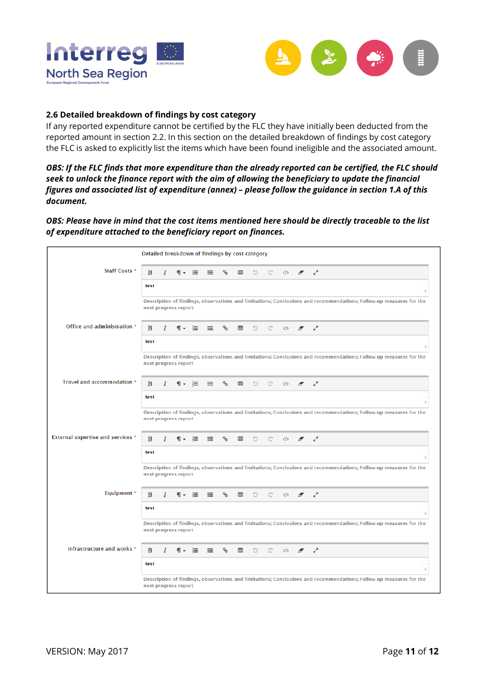



## **2.6 Detailed breakdown of findings by cost category**

If any reported expenditure cannot be certified by the FLC they have initially been deducted from the reported amount in section 2.2. In this section on the detailed breakdown of findings by cost category the FLC is asked to explicitly list the items which have been found ineligible and the associated amount.

*OBS: If the FLC finds that more expenditure than the already reported can be certified, the FLC should seek to unlock the finance report with the aim of allowing the beneficiary to update the financial figures and associated list of expenditure (annex) – please follow the guidance in section 1.A of this document.* 

*OBS: Please have in mind that the cost items mentioned here should be directly traceable to the list of expenditure attached to the beneficiary report on finances.* 

|                                   | Detailed breakdown of findings by cost category |   |                       |      |   |   |   |   |   |                   |                            |                |                                                                                                                    |
|-----------------------------------|-------------------------------------------------|---|-----------------------|------|---|---|---|---|---|-------------------|----------------------------|----------------|--------------------------------------------------------------------------------------------------------------------|
| <b>Staff Costs *</b>              | B                                               |   | ¶ –                   | 疆    | ≔ |   | ▦ | D | C | $\langle \rangle$ | Ð                          | v.             |                                                                                                                    |
|                                   | test                                            |   |                       |      |   |   |   |   |   |                   |                            |                |                                                                                                                    |
|                                   |                                                 |   | next progress report. |      |   |   |   |   |   |                   |                            |                | Description of findings, observations and limitations; Conclusions and recommendations; Follow-up measures for the |
| Office and administration *       | B                                               |   | ¶≁                    | - ≀≡ | ≔ | ዔ | ▦ | D | C | く/>               | $\boldsymbol{\mathscr{F}}$ | v.             |                                                                                                                    |
|                                   | test                                            |   |                       |      |   |   |   |   |   |                   |                            |                |                                                                                                                    |
|                                   | next progress report                            |   |                       |      |   |   |   |   |   |                   |                            |                | Description of findings, observations and limitations; Conclusions and recommendations; Follow-up measures for the |
| Travel and accommodation *        | B                                               |   |                       |      | ≔ | ዔ | ▦ | D | C | く/>               | $\boldsymbol{\mathscr{F}}$ | ↗              |                                                                                                                    |
|                                   | test                                            |   |                       |      |   |   |   |   |   |                   |                            |                |                                                                                                                    |
|                                   | next progress report                            |   |                       |      |   |   |   |   |   |                   |                            |                | Description of findings, observations and limitations; Conclusions and recommendations; Follow-up measures for the |
| External expertise and services * | B                                               |   | ¶-                    | - 18 | ≔ | ዔ | ▦ | D | C | $\langle \rangle$ | A                          | ↗              |                                                                                                                    |
|                                   | test                                            |   |                       |      |   |   |   |   |   |                   |                            |                |                                                                                                                    |
|                                   | next progress report                            |   |                       |      |   |   |   |   |   |                   |                            |                | Description of findings, observations and limitations; Conclusions and recommendations; Follow-up measures for the |
| <b>Equipment</b> *                | B                                               |   | ¶ ≁                   | 一는   | ≔ | ዔ | 囲 | D | C | $\langle \rangle$ | Ð                          | ▞              |                                                                                                                    |
|                                   | test                                            |   |                       |      |   |   |   |   |   |                   |                            |                |                                                                                                                    |
|                                   | next progress report                            |   |                       |      |   |   |   |   |   |                   |                            |                | Description of findings, observations and limitations; Conclusions and recommendations; Follow-up measures for the |
| Infrastructure and works *        | B                                               | 1 | ¶ ≁                   | - 18 | ≔ | ዔ | ▦ | D | C | $\langle \rangle$ | A                          | v <sup>x</sup> |                                                                                                                    |
|                                   | test                                            |   |                       |      |   |   |   |   |   |                   |                            |                |                                                                                                                    |
|                                   | next progress report                            |   |                       |      |   |   |   |   |   |                   |                            |                | Description of findings, observations and limitations; Conclusions and recommendations; Follow-up measures for the |